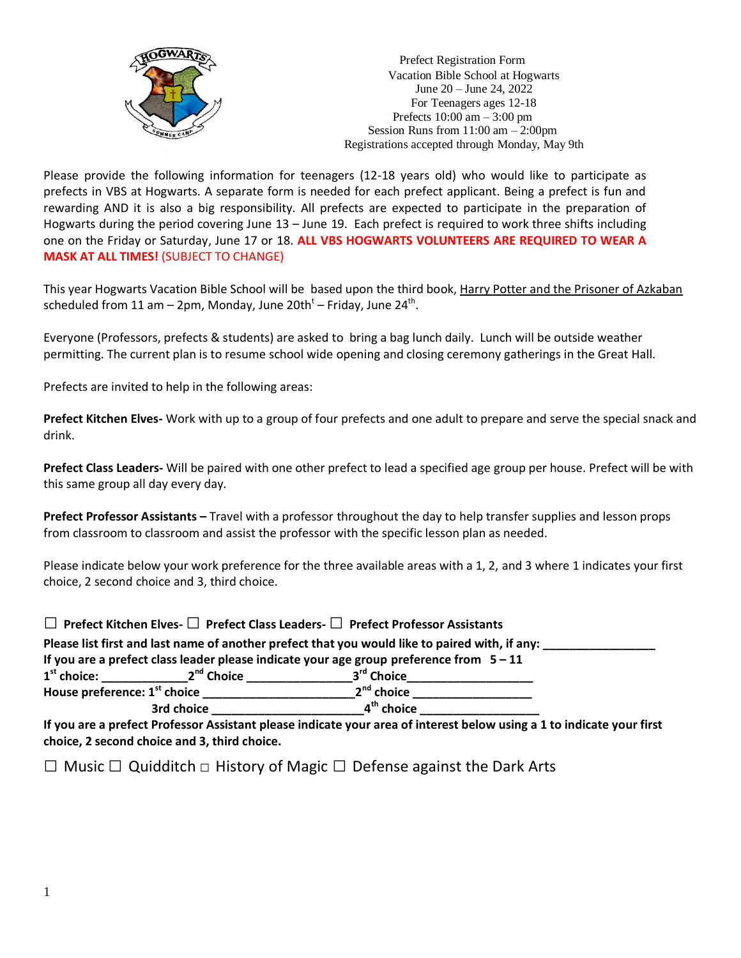

Prefect Registration Form Vacation Bible School at Hogwarts June 20 – June 24, 2022 For Teenagers ages 12-18 Prefects 10:00 am – 3:00 pm Session Runs from 11:00 am – 2:00pm Registrations accepted through Monday, May 9th

Please provide the following information for teenagers (12-18 years old) who would like to participate as prefects in VBS at Hogwarts. A separate form is needed for each prefect applicant. Being a prefect is fun and rewarding AND it is also a big responsibility. All prefects are expected to participate in the preparation of Hogwarts during the period covering June 13 – June 19. Each prefect is required to work three shifts including one on the Friday or Saturday, June 17 or 18. **ALL VBS HOGWARTS VOLUNTEERS ARE REQUIRED TO WEAR A MASK AT ALL TIMES!** (SUBJECT TO CHANGE)

This year Hogwarts Vacation Bible School will be based upon the third book, Harry Potter and the Prisoner of Azkaban scheduled from 11 am – 2pm, Monday, June 20th<sup>t</sup> – Friday, June 24<sup>th</sup>.

Everyone (Professors, prefects & students) are asked to bring a bag lunch daily. Lunch will be outside weather permitting. The current plan is to resume school wide opening and closing ceremony gatherings in the Great Hall.

Prefects are invited to help in the following areas:

**Prefect Kitchen Elves-** Work with up to a group of four prefects and one adult to prepare and serve the special snack and drink.

**Prefect Class Leaders-** Will be paired with one other prefect to lead a specified age group per house. Prefect will be with this same group all day every day.

**Prefect Professor Assistants –** Travel with a professor throughout the day to help transfer supplies and lesson props from classroom to classroom and assist the professor with the specific lesson plan as needed.

Please indicate below your work preference for the three available areas with a 1, 2, and 3 where 1 indicates your first choice, 2 second choice and 3, third choice.

|                                          |                        | $\Box$ Prefect Kitchen Elves- $\Box$ Prefect Class Leaders- $\Box$ Prefect Professor Assistants                            |  |
|------------------------------------------|------------------------|----------------------------------------------------------------------------------------------------------------------------|--|
|                                          |                        | Please list first and last name of another prefect that you would like to paired with, if any:                             |  |
|                                          |                        | If you are a prefect class leader please indicate your age group preference from $5 - 11$                                  |  |
| $1st$ choice:                            | 2 <sup>nd</sup> Choice | 3 <sup>rd</sup> Choice                                                                                                     |  |
| House preference: 1 <sup>st</sup> choice |                        | $2nd$ choice                                                                                                               |  |
| 3rd choice                               |                        | 4 <sup>th</sup> choice                                                                                                     |  |
|                                          |                        | If you are a professional professor Assistant places indicate your area of interest below using a 1 to indicate your first |  |

**If you are a prefect Professor Assistant please indicate your area of interest below using a 1 to indicate your first choice, 2 second choice and 3, third choice.**

□ Music □ Quidditch □ History of Magic □ Defense against the Dark Arts